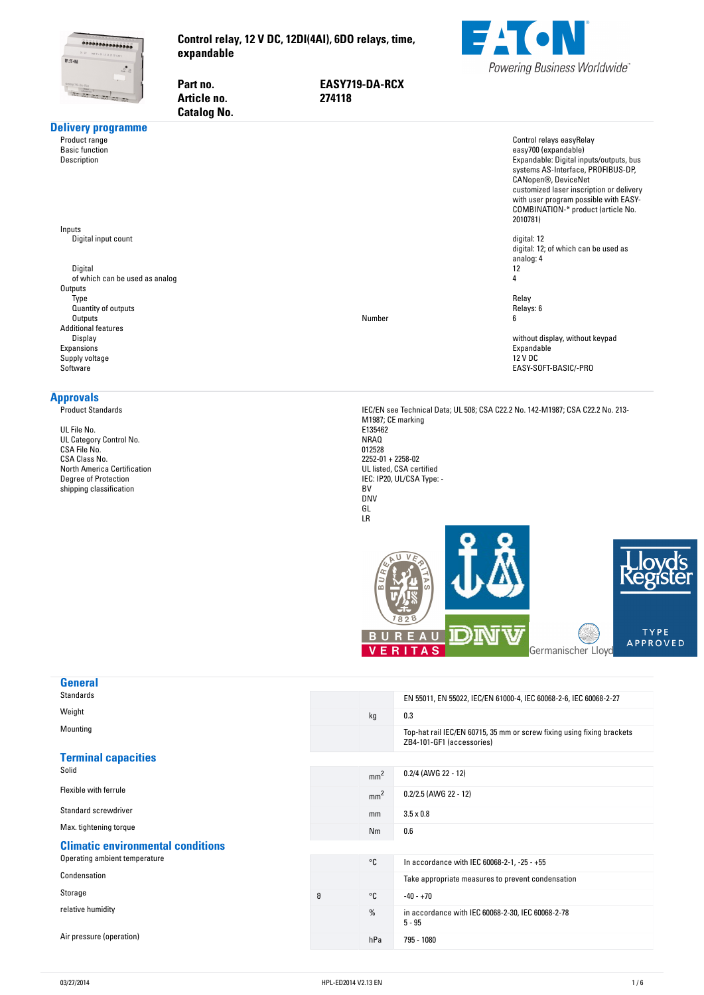<span id="page-0-0"></span>

Part no.

**Article no.** 

**Control-relay,-12-V-DC,-12DI(4AI),-6DO-relays,-time, expandable**

> **no. EASY719-DA-RCX no. 274118**



| Gatalog No.                                                                                                                                                                                                      |                                                                                                                                                                                                |                                                                                                                                                                                                                                                                                                 |
|------------------------------------------------------------------------------------------------------------------------------------------------------------------------------------------------------------------|------------------------------------------------------------------------------------------------------------------------------------------------------------------------------------------------|-------------------------------------------------------------------------------------------------------------------------------------------------------------------------------------------------------------------------------------------------------------------------------------------------|
| <b>Delivery programme</b><br>Product range<br><b>Basic function</b><br>Description                                                                                                                               |                                                                                                                                                                                                | Control relays easyRelay<br>easy700 (expandable)<br>Expandable: Digital inputs/outputs, bus<br>systems AS-Interface, PROFIBUS-DP,<br>CANopen®, DeviceNet<br>customized laser inscription or delivery<br>with user program possible with EASY-<br>COMBINATION-* product (article No.<br>2010781) |
| Inputs<br>Digital input count<br>Digital<br>of which can be used as analog<br>Outputs                                                                                                                            |                                                                                                                                                                                                | digital: 12<br>digital: 12; of which can be used as<br>analog: 4<br>12<br>4                                                                                                                                                                                                                     |
| Type<br>Quantity of outputs<br>Outputs<br><b>Additional features</b>                                                                                                                                             | Number                                                                                                                                                                                         | Relay<br>Relays: 6<br>6                                                                                                                                                                                                                                                                         |
| Display<br>Expansions<br>Supply voltage<br>Software                                                                                                                                                              |                                                                                                                                                                                                | without display, without keypad<br>Expandable<br>12 V DC<br>EASY-SOFT-BASIC/-PRO                                                                                                                                                                                                                |
| <b>Approvals</b><br><b>Product Standards</b><br>UL File No.<br>UL Category Control No.<br>CSA File No.<br>CSA Class No.<br><b>North America Certification</b><br>Degree of Protection<br>shipping classification | M1987; CE marking<br>E135462<br>NRAQ<br>012528<br>$2252 - 01 + 2258 - 02$<br>UL listed, CSA certified<br>IEC: IP20, UL/CSA Type: -<br>BV<br><b>DNV</b><br>GL<br>LR<br><b>BUREAU</b><br>VERITAS | IEC/EN see Technical Data; UL 508; CSA C22.2 No. 142-M1987; CSA C22.2 No. 213-<br><b>TYPE</b><br><b>APPROVED</b><br>Germanischer Lloyd                                                                                                                                                          |
| <b>General</b><br><b>Standards</b>                                                                                                                                                                               |                                                                                                                                                                                                | EN 55011, EN 55022, IEC/EN 61000-4, IEC 60068-2-6, IEC 60068-2-27                                                                                                                                                                                                                               |
| Weight                                                                                                                                                                                                           | 0.3<br>kg                                                                                                                                                                                      |                                                                                                                                                                                                                                                                                                 |
| Mounting                                                                                                                                                                                                         |                                                                                                                                                                                                | Top-hat rail IEC/EN 60715, 35 mm or screw fixing using fixing brackets<br>ZB4-101-GF1 (accessories)                                                                                                                                                                                             |
| <b>Terminal capacities</b><br>Solid                                                                                                                                                                              | mm <sup>2</sup>                                                                                                                                                                                | 0.2/4 (AWG 22 - 12)                                                                                                                                                                                                                                                                             |
| Flexible with ferrule                                                                                                                                                                                            | mm <sup>2</sup>                                                                                                                                                                                | 0.2/2.5 (AWG 22 - 12)                                                                                                                                                                                                                                                                           |

Standard screwdriver model is a set of the standard screwdriver mm 3.5 x 0.8

Max. tightening torque **NM 0.6** Nm 0.6

#### **Climatic-environmental-conditions** Operating ambient temperature **COLL ACCORD ENGINEER CONSTRUCTED AT ACCORD** COLLEGE ACCORD **COLL ACCORD ENGINEER** CONSUMING THE CONSUMING THE CONSUMING THE CONSUMING THE CONSUMING THE CONSUMING THE CONSUMING THE CONSUMING T

Condensation Take appropriate measures to prevent condensation Storage  $\sim$  -40 - +70 relative humidity **in accordance with IEC 60068-2-78**, IEC 60068-2-78

Air pressure (operation) has a series of the contract of the contract of the contract of the contract of the contract of the contract of the contract of the contract of the contract of the contract of the contract of the c

 $5 - 95$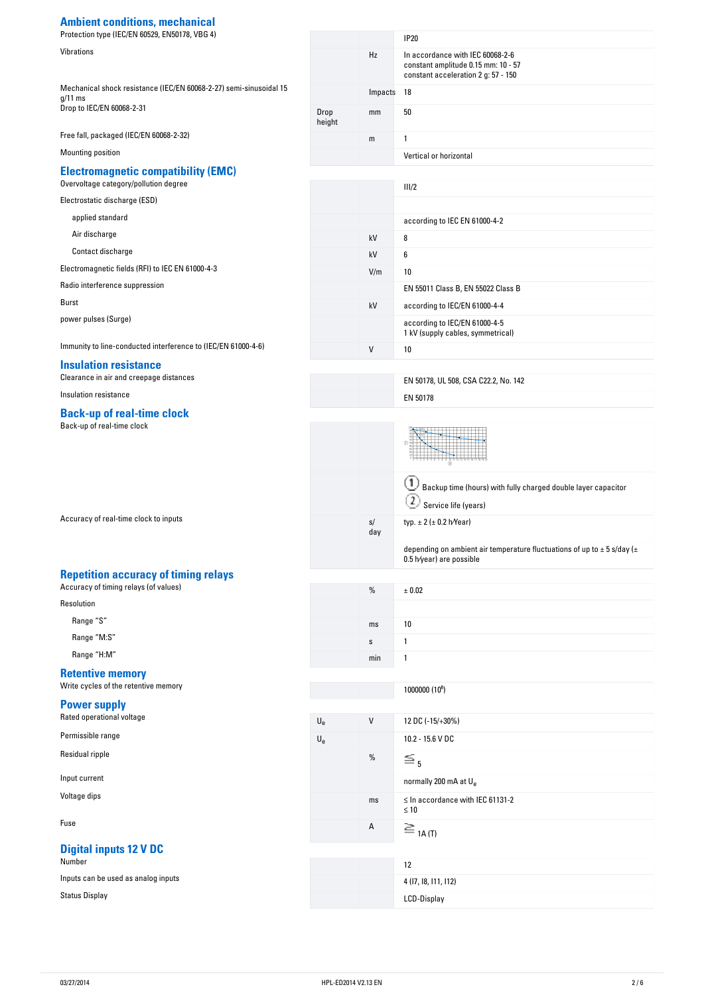# **Ambient-conditions,-mechanical**

| Protection type (IEC/EN 60529, EN50178, VBG 4)                                       |                           |         | <b>IP20</b>                                                                                                    |
|--------------------------------------------------------------------------------------|---------------------------|---------|----------------------------------------------------------------------------------------------------------------|
| Vibrations                                                                           |                           | Hz      | In accordance with IEC 60068-2-6<br>constant amplitude 0.15 mm: 10 - 57<br>constant acceleration 2 g: 57 - 150 |
| Mechanical shock resistance (IEC/EN 60068-2-27) semi-sinusoidal 15                   |                           | Impacts | 18                                                                                                             |
| $g/11$ ms<br>Drop to IEC/EN 60068-2-31                                               | Drop<br>height            | mm      | 50                                                                                                             |
| Free fall, packaged (IEC/EN 60068-2-32)                                              |                           | m       | 1                                                                                                              |
| Mounting position                                                                    |                           |         | Vertical or horizontal                                                                                         |
| <b>Electromagnetic compatibility (EMC)</b><br>Overvoltage category/pollution degree  |                           |         | III/2                                                                                                          |
| Electrostatic discharge (ESD)                                                        |                           |         |                                                                                                                |
| applied standard                                                                     |                           |         | according to IEC EN 61000-4-2                                                                                  |
| Air discharge                                                                        |                           | kV      | 8                                                                                                              |
| Contact discharge                                                                    |                           | kV      | 6                                                                                                              |
| Electromagnetic fields (RFI) to IEC EN 61000-4-3                                     |                           | V/m     | 10                                                                                                             |
| Radio interference suppression                                                       |                           |         | EN 55011 Class B, EN 55022 Class B                                                                             |
| Burst                                                                                |                           | kV      | according to IEC/EN 61000-4-4                                                                                  |
| power pulses (Surge)                                                                 |                           |         | according to IEC/EN 61000-4-5                                                                                  |
|                                                                                      |                           |         | 1 kV (supply cables, symmetrical)                                                                              |
| Immunity to line-conducted interference to (IEC/EN 61000-4-6)                        |                           | V       | 10                                                                                                             |
| <b>Insulation resistance</b><br>Clearance in air and creepage distances              |                           |         | EN 50178, UL 508, CSA C22.2, No. 142                                                                           |
| Insulation resistance                                                                |                           |         | EN 50178                                                                                                       |
| <b>Back-up of real-time clock</b><br>Back-up of real-time clock                      |                           |         | Backup time (hours) with fully charged double layer capacitor<br>Service life (years)                          |
| Accuracy of real-time clock to inputs                                                |                           | s/      | typ. $\pm 2$ ( $\pm 0.2$ h/Year)                                                                               |
|                                                                                      |                           | day     |                                                                                                                |
|                                                                                      |                           |         | depending on ambient air temperature fluctuations of up to $\pm$ 5 s/day ( $\pm$<br>0.5 h/year) are possible   |
| <b>Repetition accuracy of timing relays</b><br>Accuracy of timing relays (of values) |                           | %       | ± 0.02                                                                                                         |
| Resolution                                                                           |                           |         |                                                                                                                |
| Range "S"                                                                            |                           | ms      | 10                                                                                                             |
| Range "M:S"                                                                          |                           | s       | $\mathbf{1}$                                                                                                   |
| Range "H:M"                                                                          |                           | min     | $\mathbf{1}$                                                                                                   |
| <b>Retentive memory</b>                                                              |                           |         |                                                                                                                |
| Write cycles of the retentive memory                                                 |                           |         | 1000000 (10 <sup>6</sup> )                                                                                     |
| <b>Power supply</b>                                                                  |                           |         |                                                                                                                |
| Rated operational voltage                                                            | $U_{e}$                   | V       | 12 DC (-15/+30%)                                                                                               |
| Permissible range                                                                    | $\mathsf{U}_{\mathsf{e}}$ |         | 10.2 - 15.6 V DC                                                                                               |
| Residual ripple<br>Input current                                                     |                           | $\%$    | $\leq$ <sub>5</sub>                                                                                            |
|                                                                                      |                           |         | normally 200 mA at U <sub>e</sub>                                                                              |
| Voltage dips                                                                         |                           | ms      | $\leq$ In accordance with IEC 61131-2<br>$\leq 10$                                                             |
| Fuse                                                                                 |                           | Α       | $\equiv$ 1A(T)                                                                                                 |
| <b>Digital inputs 12 V DC</b><br>Number                                              |                           |         | 12                                                                                                             |
| Inputs can be used as analog inputs                                                  |                           |         | 4 (17, 18, 111, 112)                                                                                           |
| <b>Status Display</b>                                                                |                           |         | LCD-Display                                                                                                    |
|                                                                                      |                           |         |                                                                                                                |
|                                                                                      |                           |         |                                                                                                                |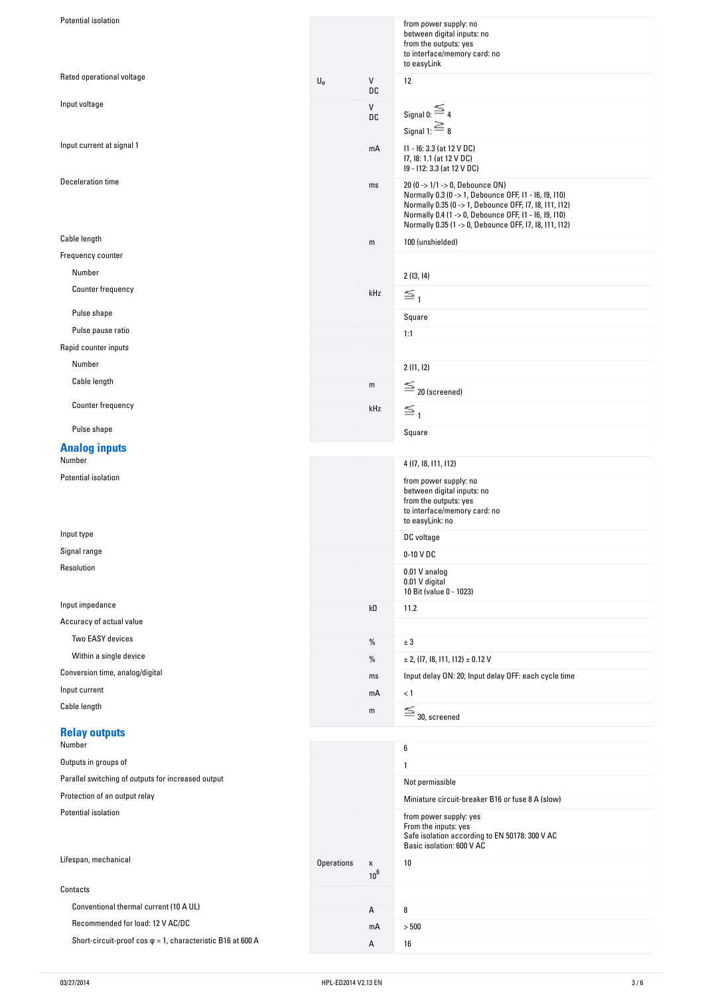| Rated operational voltage<br>$\mathsf{U}_{\mathrm{e}}$<br>${\sf V}$<br>12<br>DC<br>Input voltage<br>V<br>Signal 0: $\equiv$ 4<br>DC<br>Signal 1: $\equiv$ 8<br>Input current at signal 1<br>I1 - I6: 3.3 (at 12 V DC)<br>mA<br>17, 18: 1.1 (at 12 V DC)<br>19 - 112: 3.3 (at 12 V DC)<br>Deceleration time<br>20 (0 -> 1/1 -> 0, Debounce ON)<br>ms<br>Normally 0.3 (0 -> 1, Debounce OFF, I1 - I6, I9, I10)<br>Normally 0.35 (0 -> 1, Debounce OFF, 17, 18, 111, 112)<br>Normally 0.4 (1 -> 0, Debounce OFF, I1 - I6, I9, I10)<br>Normally 0.35 (1 -> 0, Debounce OFF, 17, 18, 111, 112)<br>Cable length<br>100 (unshielded)<br>${\sf m}$<br>Frequency counter<br>Number<br>2(13, 14)<br>Counter frequency<br>kHz<br>$\leq_1$<br>Pulse shape<br>Square<br>Pulse pause ratio<br>1:1<br>Rapid counter inputs<br>Number<br>2(11, 12)<br>Cable length<br>${\mathsf m}$<br>$\equiv$ 20 (screened)<br>Counter frequency<br>kHz<br>$\leq_1$<br>Pulse shape<br>Square<br><b>Analog inputs</b><br>Number<br>4 (17, 18, 111, 112)<br>Potential isolation<br>from power supply: no<br>between digital inputs: no<br>from the outputs: yes<br>to interface/memory card: no<br>to easyLink: no<br>Input type<br>DC voltage<br>Signal range<br>0-10 V DC<br>Resolution<br>0.01 V analog<br>0.01 V digital<br>10 Bit (value 0 - 1023)<br>Input impedance<br>kΩ<br>11.2<br>Accuracy of actual value<br>Two EASY devices<br>$\%$<br>$\pm$ 3<br>Within a single device<br>$\%$<br>$\pm$ 2, (17, 18, 111, 112) $\pm$ 0.12 V<br>Conversion time, analog/digital<br>Input delay ON: 20; Input delay OFF: each cycle time<br>ms<br>Input current<br>mA<br>< 1<br>Cable length<br>$\equiv$ 30, screened<br>m<br><b>Relay outputs</b><br>Number<br>6<br>Outputs in groups of<br>1<br>Parallel switching of outputs for increased output<br>Not permissible<br>Protection of an output relay<br>Miniature circuit-breaker B16 or fuse 8 A (slow)<br>Potential isolation<br>from power supply: yes<br>From the inputs: yes<br>Safe isolation according to EN 50178: 300 V AC<br>Basic isolation: 600 V AC<br>Lifespan, mechanical<br><b>Operations</b><br>10<br>X<br>10 <sup>6</sup><br>Contacts<br>Conventional thermal current (10 A UL)<br>8<br>А<br>Recommended for load: 12 V AC/DC<br>$>500$<br>mA<br>Short-circuit-proof cos $\varphi$ = 1, characteristic B16 at 600 A<br>А<br>16 | Potential isolation |  | from power supply: no<br>between digital inputs: no<br>from the outputs: yes<br>to interface/memory card: no<br>to easyLink |
|------------------------------------------------------------------------------------------------------------------------------------------------------------------------------------------------------------------------------------------------------------------------------------------------------------------------------------------------------------------------------------------------------------------------------------------------------------------------------------------------------------------------------------------------------------------------------------------------------------------------------------------------------------------------------------------------------------------------------------------------------------------------------------------------------------------------------------------------------------------------------------------------------------------------------------------------------------------------------------------------------------------------------------------------------------------------------------------------------------------------------------------------------------------------------------------------------------------------------------------------------------------------------------------------------------------------------------------------------------------------------------------------------------------------------------------------------------------------------------------------------------------------------------------------------------------------------------------------------------------------------------------------------------------------------------------------------------------------------------------------------------------------------------------------------------------------------------------------------------------------------------------------------------------------------------------------------------------------------------------------------------------------------------------------------------------------------------------------------------------------------------------------------------------------------------------------------------------------------------------------------------------------------------------------------------------------------------------------------------------|---------------------|--|-----------------------------------------------------------------------------------------------------------------------------|
|                                                                                                                                                                                                                                                                                                                                                                                                                                                                                                                                                                                                                                                                                                                                                                                                                                                                                                                                                                                                                                                                                                                                                                                                                                                                                                                                                                                                                                                                                                                                                                                                                                                                                                                                                                                                                                                                                                                                                                                                                                                                                                                                                                                                                                                                                                                                                                  |                     |  |                                                                                                                             |
|                                                                                                                                                                                                                                                                                                                                                                                                                                                                                                                                                                                                                                                                                                                                                                                                                                                                                                                                                                                                                                                                                                                                                                                                                                                                                                                                                                                                                                                                                                                                                                                                                                                                                                                                                                                                                                                                                                                                                                                                                                                                                                                                                                                                                                                                                                                                                                  |                     |  |                                                                                                                             |
|                                                                                                                                                                                                                                                                                                                                                                                                                                                                                                                                                                                                                                                                                                                                                                                                                                                                                                                                                                                                                                                                                                                                                                                                                                                                                                                                                                                                                                                                                                                                                                                                                                                                                                                                                                                                                                                                                                                                                                                                                                                                                                                                                                                                                                                                                                                                                                  |                     |  |                                                                                                                             |
|                                                                                                                                                                                                                                                                                                                                                                                                                                                                                                                                                                                                                                                                                                                                                                                                                                                                                                                                                                                                                                                                                                                                                                                                                                                                                                                                                                                                                                                                                                                                                                                                                                                                                                                                                                                                                                                                                                                                                                                                                                                                                                                                                                                                                                                                                                                                                                  |                     |  |                                                                                                                             |
|                                                                                                                                                                                                                                                                                                                                                                                                                                                                                                                                                                                                                                                                                                                                                                                                                                                                                                                                                                                                                                                                                                                                                                                                                                                                                                                                                                                                                                                                                                                                                                                                                                                                                                                                                                                                                                                                                                                                                                                                                                                                                                                                                                                                                                                                                                                                                                  |                     |  |                                                                                                                             |
|                                                                                                                                                                                                                                                                                                                                                                                                                                                                                                                                                                                                                                                                                                                                                                                                                                                                                                                                                                                                                                                                                                                                                                                                                                                                                                                                                                                                                                                                                                                                                                                                                                                                                                                                                                                                                                                                                                                                                                                                                                                                                                                                                                                                                                                                                                                                                                  |                     |  |                                                                                                                             |
|                                                                                                                                                                                                                                                                                                                                                                                                                                                                                                                                                                                                                                                                                                                                                                                                                                                                                                                                                                                                                                                                                                                                                                                                                                                                                                                                                                                                                                                                                                                                                                                                                                                                                                                                                                                                                                                                                                                                                                                                                                                                                                                                                                                                                                                                                                                                                                  |                     |  |                                                                                                                             |
|                                                                                                                                                                                                                                                                                                                                                                                                                                                                                                                                                                                                                                                                                                                                                                                                                                                                                                                                                                                                                                                                                                                                                                                                                                                                                                                                                                                                                                                                                                                                                                                                                                                                                                                                                                                                                                                                                                                                                                                                                                                                                                                                                                                                                                                                                                                                                                  |                     |  |                                                                                                                             |
|                                                                                                                                                                                                                                                                                                                                                                                                                                                                                                                                                                                                                                                                                                                                                                                                                                                                                                                                                                                                                                                                                                                                                                                                                                                                                                                                                                                                                                                                                                                                                                                                                                                                                                                                                                                                                                                                                                                                                                                                                                                                                                                                                                                                                                                                                                                                                                  |                     |  |                                                                                                                             |
|                                                                                                                                                                                                                                                                                                                                                                                                                                                                                                                                                                                                                                                                                                                                                                                                                                                                                                                                                                                                                                                                                                                                                                                                                                                                                                                                                                                                                                                                                                                                                                                                                                                                                                                                                                                                                                                                                                                                                                                                                                                                                                                                                                                                                                                                                                                                                                  |                     |  |                                                                                                                             |
|                                                                                                                                                                                                                                                                                                                                                                                                                                                                                                                                                                                                                                                                                                                                                                                                                                                                                                                                                                                                                                                                                                                                                                                                                                                                                                                                                                                                                                                                                                                                                                                                                                                                                                                                                                                                                                                                                                                                                                                                                                                                                                                                                                                                                                                                                                                                                                  |                     |  |                                                                                                                             |
|                                                                                                                                                                                                                                                                                                                                                                                                                                                                                                                                                                                                                                                                                                                                                                                                                                                                                                                                                                                                                                                                                                                                                                                                                                                                                                                                                                                                                                                                                                                                                                                                                                                                                                                                                                                                                                                                                                                                                                                                                                                                                                                                                                                                                                                                                                                                                                  |                     |  |                                                                                                                             |
|                                                                                                                                                                                                                                                                                                                                                                                                                                                                                                                                                                                                                                                                                                                                                                                                                                                                                                                                                                                                                                                                                                                                                                                                                                                                                                                                                                                                                                                                                                                                                                                                                                                                                                                                                                                                                                                                                                                                                                                                                                                                                                                                                                                                                                                                                                                                                                  |                     |  |                                                                                                                             |
|                                                                                                                                                                                                                                                                                                                                                                                                                                                                                                                                                                                                                                                                                                                                                                                                                                                                                                                                                                                                                                                                                                                                                                                                                                                                                                                                                                                                                                                                                                                                                                                                                                                                                                                                                                                                                                                                                                                                                                                                                                                                                                                                                                                                                                                                                                                                                                  |                     |  |                                                                                                                             |
|                                                                                                                                                                                                                                                                                                                                                                                                                                                                                                                                                                                                                                                                                                                                                                                                                                                                                                                                                                                                                                                                                                                                                                                                                                                                                                                                                                                                                                                                                                                                                                                                                                                                                                                                                                                                                                                                                                                                                                                                                                                                                                                                                                                                                                                                                                                                                                  |                     |  |                                                                                                                             |
|                                                                                                                                                                                                                                                                                                                                                                                                                                                                                                                                                                                                                                                                                                                                                                                                                                                                                                                                                                                                                                                                                                                                                                                                                                                                                                                                                                                                                                                                                                                                                                                                                                                                                                                                                                                                                                                                                                                                                                                                                                                                                                                                                                                                                                                                                                                                                                  |                     |  |                                                                                                                             |
|                                                                                                                                                                                                                                                                                                                                                                                                                                                                                                                                                                                                                                                                                                                                                                                                                                                                                                                                                                                                                                                                                                                                                                                                                                                                                                                                                                                                                                                                                                                                                                                                                                                                                                                                                                                                                                                                                                                                                                                                                                                                                                                                                                                                                                                                                                                                                                  |                     |  |                                                                                                                             |
|                                                                                                                                                                                                                                                                                                                                                                                                                                                                                                                                                                                                                                                                                                                                                                                                                                                                                                                                                                                                                                                                                                                                                                                                                                                                                                                                                                                                                                                                                                                                                                                                                                                                                                                                                                                                                                                                                                                                                                                                                                                                                                                                                                                                                                                                                                                                                                  |                     |  |                                                                                                                             |
|                                                                                                                                                                                                                                                                                                                                                                                                                                                                                                                                                                                                                                                                                                                                                                                                                                                                                                                                                                                                                                                                                                                                                                                                                                                                                                                                                                                                                                                                                                                                                                                                                                                                                                                                                                                                                                                                                                                                                                                                                                                                                                                                                                                                                                                                                                                                                                  |                     |  |                                                                                                                             |
|                                                                                                                                                                                                                                                                                                                                                                                                                                                                                                                                                                                                                                                                                                                                                                                                                                                                                                                                                                                                                                                                                                                                                                                                                                                                                                                                                                                                                                                                                                                                                                                                                                                                                                                                                                                                                                                                                                                                                                                                                                                                                                                                                                                                                                                                                                                                                                  |                     |  |                                                                                                                             |
|                                                                                                                                                                                                                                                                                                                                                                                                                                                                                                                                                                                                                                                                                                                                                                                                                                                                                                                                                                                                                                                                                                                                                                                                                                                                                                                                                                                                                                                                                                                                                                                                                                                                                                                                                                                                                                                                                                                                                                                                                                                                                                                                                                                                                                                                                                                                                                  |                     |  |                                                                                                                             |
|                                                                                                                                                                                                                                                                                                                                                                                                                                                                                                                                                                                                                                                                                                                                                                                                                                                                                                                                                                                                                                                                                                                                                                                                                                                                                                                                                                                                                                                                                                                                                                                                                                                                                                                                                                                                                                                                                                                                                                                                                                                                                                                                                                                                                                                                                                                                                                  |                     |  |                                                                                                                             |
|                                                                                                                                                                                                                                                                                                                                                                                                                                                                                                                                                                                                                                                                                                                                                                                                                                                                                                                                                                                                                                                                                                                                                                                                                                                                                                                                                                                                                                                                                                                                                                                                                                                                                                                                                                                                                                                                                                                                                                                                                                                                                                                                                                                                                                                                                                                                                                  |                     |  |                                                                                                                             |
|                                                                                                                                                                                                                                                                                                                                                                                                                                                                                                                                                                                                                                                                                                                                                                                                                                                                                                                                                                                                                                                                                                                                                                                                                                                                                                                                                                                                                                                                                                                                                                                                                                                                                                                                                                                                                                                                                                                                                                                                                                                                                                                                                                                                                                                                                                                                                                  |                     |  |                                                                                                                             |
|                                                                                                                                                                                                                                                                                                                                                                                                                                                                                                                                                                                                                                                                                                                                                                                                                                                                                                                                                                                                                                                                                                                                                                                                                                                                                                                                                                                                                                                                                                                                                                                                                                                                                                                                                                                                                                                                                                                                                                                                                                                                                                                                                                                                                                                                                                                                                                  |                     |  |                                                                                                                             |
|                                                                                                                                                                                                                                                                                                                                                                                                                                                                                                                                                                                                                                                                                                                                                                                                                                                                                                                                                                                                                                                                                                                                                                                                                                                                                                                                                                                                                                                                                                                                                                                                                                                                                                                                                                                                                                                                                                                                                                                                                                                                                                                                                                                                                                                                                                                                                                  |                     |  |                                                                                                                             |
|                                                                                                                                                                                                                                                                                                                                                                                                                                                                                                                                                                                                                                                                                                                                                                                                                                                                                                                                                                                                                                                                                                                                                                                                                                                                                                                                                                                                                                                                                                                                                                                                                                                                                                                                                                                                                                                                                                                                                                                                                                                                                                                                                                                                                                                                                                                                                                  |                     |  |                                                                                                                             |
|                                                                                                                                                                                                                                                                                                                                                                                                                                                                                                                                                                                                                                                                                                                                                                                                                                                                                                                                                                                                                                                                                                                                                                                                                                                                                                                                                                                                                                                                                                                                                                                                                                                                                                                                                                                                                                                                                                                                                                                                                                                                                                                                                                                                                                                                                                                                                                  |                     |  |                                                                                                                             |
|                                                                                                                                                                                                                                                                                                                                                                                                                                                                                                                                                                                                                                                                                                                                                                                                                                                                                                                                                                                                                                                                                                                                                                                                                                                                                                                                                                                                                                                                                                                                                                                                                                                                                                                                                                                                                                                                                                                                                                                                                                                                                                                                                                                                                                                                                                                                                                  |                     |  |                                                                                                                             |
|                                                                                                                                                                                                                                                                                                                                                                                                                                                                                                                                                                                                                                                                                                                                                                                                                                                                                                                                                                                                                                                                                                                                                                                                                                                                                                                                                                                                                                                                                                                                                                                                                                                                                                                                                                                                                                                                                                                                                                                                                                                                                                                                                                                                                                                                                                                                                                  |                     |  |                                                                                                                             |
|                                                                                                                                                                                                                                                                                                                                                                                                                                                                                                                                                                                                                                                                                                                                                                                                                                                                                                                                                                                                                                                                                                                                                                                                                                                                                                                                                                                                                                                                                                                                                                                                                                                                                                                                                                                                                                                                                                                                                                                                                                                                                                                                                                                                                                                                                                                                                                  |                     |  |                                                                                                                             |
|                                                                                                                                                                                                                                                                                                                                                                                                                                                                                                                                                                                                                                                                                                                                                                                                                                                                                                                                                                                                                                                                                                                                                                                                                                                                                                                                                                                                                                                                                                                                                                                                                                                                                                                                                                                                                                                                                                                                                                                                                                                                                                                                                                                                                                                                                                                                                                  |                     |  |                                                                                                                             |
|                                                                                                                                                                                                                                                                                                                                                                                                                                                                                                                                                                                                                                                                                                                                                                                                                                                                                                                                                                                                                                                                                                                                                                                                                                                                                                                                                                                                                                                                                                                                                                                                                                                                                                                                                                                                                                                                                                                                                                                                                                                                                                                                                                                                                                                                                                                                                                  |                     |  |                                                                                                                             |
|                                                                                                                                                                                                                                                                                                                                                                                                                                                                                                                                                                                                                                                                                                                                                                                                                                                                                                                                                                                                                                                                                                                                                                                                                                                                                                                                                                                                                                                                                                                                                                                                                                                                                                                                                                                                                                                                                                                                                                                                                                                                                                                                                                                                                                                                                                                                                                  |                     |  |                                                                                                                             |
|                                                                                                                                                                                                                                                                                                                                                                                                                                                                                                                                                                                                                                                                                                                                                                                                                                                                                                                                                                                                                                                                                                                                                                                                                                                                                                                                                                                                                                                                                                                                                                                                                                                                                                                                                                                                                                                                                                                                                                                                                                                                                                                                                                                                                                                                                                                                                                  |                     |  |                                                                                                                             |
|                                                                                                                                                                                                                                                                                                                                                                                                                                                                                                                                                                                                                                                                                                                                                                                                                                                                                                                                                                                                                                                                                                                                                                                                                                                                                                                                                                                                                                                                                                                                                                                                                                                                                                                                                                                                                                                                                                                                                                                                                                                                                                                                                                                                                                                                                                                                                                  |                     |  |                                                                                                                             |
|                                                                                                                                                                                                                                                                                                                                                                                                                                                                                                                                                                                                                                                                                                                                                                                                                                                                                                                                                                                                                                                                                                                                                                                                                                                                                                                                                                                                                                                                                                                                                                                                                                                                                                                                                                                                                                                                                                                                                                                                                                                                                                                                                                                                                                                                                                                                                                  |                     |  |                                                                                                                             |
|                                                                                                                                                                                                                                                                                                                                                                                                                                                                                                                                                                                                                                                                                                                                                                                                                                                                                                                                                                                                                                                                                                                                                                                                                                                                                                                                                                                                                                                                                                                                                                                                                                                                                                                                                                                                                                                                                                                                                                                                                                                                                                                                                                                                                                                                                                                                                                  |                     |  |                                                                                                                             |
|                                                                                                                                                                                                                                                                                                                                                                                                                                                                                                                                                                                                                                                                                                                                                                                                                                                                                                                                                                                                                                                                                                                                                                                                                                                                                                                                                                                                                                                                                                                                                                                                                                                                                                                                                                                                                                                                                                                                                                                                                                                                                                                                                                                                                                                                                                                                                                  |                     |  |                                                                                                                             |
|                                                                                                                                                                                                                                                                                                                                                                                                                                                                                                                                                                                                                                                                                                                                                                                                                                                                                                                                                                                                                                                                                                                                                                                                                                                                                                                                                                                                                                                                                                                                                                                                                                                                                                                                                                                                                                                                                                                                                                                                                                                                                                                                                                                                                                                                                                                                                                  |                     |  |                                                                                                                             |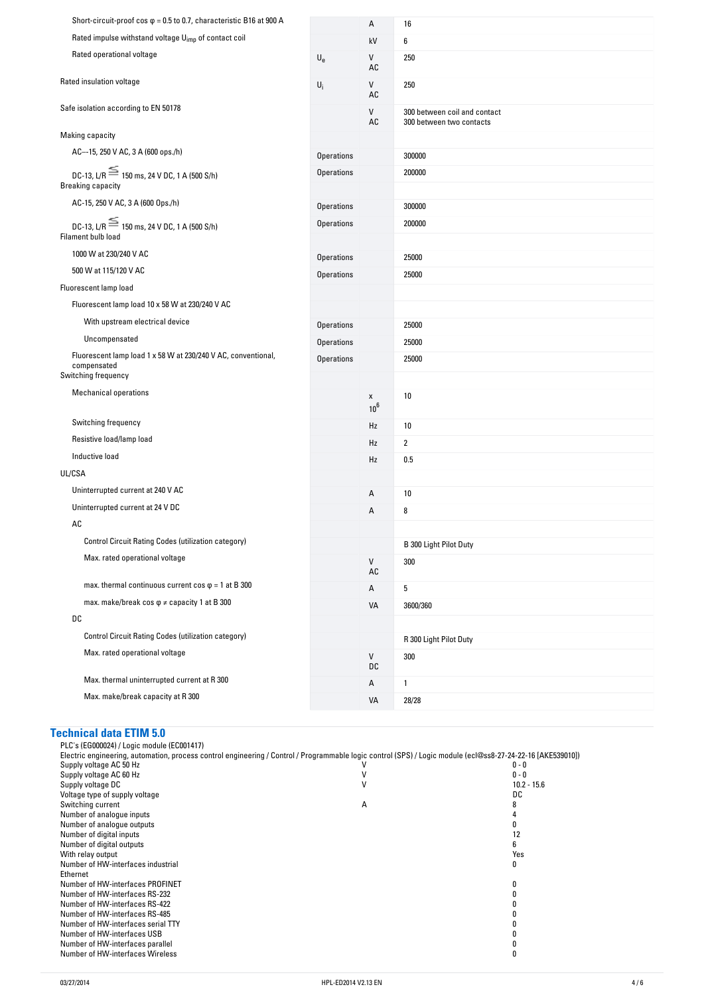| Short-circuit-proof cos $\varphi$ = 0.5 to 0.7, characteristic B16 at 900 A                         |                           | А                           | 16                                                       |
|-----------------------------------------------------------------------------------------------------|---------------------------|-----------------------------|----------------------------------------------------------|
| Rated impulse withstand voltage U <sub>imp</sub> of contact coil                                    |                           | kV                          | 6                                                        |
| Rated operational voltage                                                                           | $\mathsf{U}_{\mathsf{e}}$ | V<br>AC                     | 250                                                      |
| Rated insulation voltage                                                                            | $U_i$                     | V<br>$\mathsf{AC}$          | 250                                                      |
| Safe isolation according to EN 50178                                                                |                           | V<br>AC                     | 300 between coil and contact<br>300 between two contacts |
| Making capacity                                                                                     |                           |                             |                                                          |
| AC--15, 250 V AC, 3 A (600 ops./h)                                                                  | <b>Operations</b>         |                             | 300000                                                   |
| DC-13, L/R $\equiv$ 150 ms, 24 V DC, 1 A (500 S/h)                                                  | <b>Operations</b>         |                             | 200000                                                   |
| <b>Breaking capacity</b>                                                                            |                           |                             |                                                          |
| AC-15, 250 V AC, 3 A (600 Ops./h)                                                                   | <b>Operations</b>         |                             | 300000                                                   |
| DC-13, L/R $\equiv$ 150 ms, 24 V DC, 1 A (500 S/h)<br>Filament bulb load                            | <b>Operations</b>         |                             | 200000                                                   |
| 1000 W at 230/240 V AC                                                                              |                           |                             |                                                          |
| 500 W at 115/120 V AC                                                                               | <b>Operations</b>         |                             | 25000                                                    |
| Fluorescent lamp load                                                                               | <b>Operations</b>         |                             | 25000                                                    |
| Fluorescent lamp load 10 x 58 W at 230/240 V AC                                                     |                           |                             |                                                          |
| With upstream electrical device                                                                     |                           |                             |                                                          |
|                                                                                                     | <b>Operations</b>         |                             | 25000                                                    |
| Uncompensated                                                                                       | <b>Operations</b>         |                             | 25000                                                    |
| Fluorescent lamp load 1 x 58 W at 230/240 V AC, conventional,<br>compensated<br>Switching frequency | <b>Operations</b>         |                             | 25000                                                    |
| <b>Mechanical operations</b>                                                                        |                           | X                           | 10                                                       |
|                                                                                                     |                           | 10 <sup>6</sup>             |                                                          |
| Switching frequency                                                                                 |                           | Hz                          | 10                                                       |
| Resistive load/lamp load                                                                            |                           | Hz                          | $\overline{2}$                                           |
| Inductive load                                                                                      |                           | Hz                          | 0.5                                                      |
| UL/CSA                                                                                              |                           |                             |                                                          |
| Uninterrupted current at 240 V AC                                                                   |                           | А                           | 10                                                       |
| Uninterrupted current at 24 V DC                                                                    |                           | А                           | 8                                                        |
| AC                                                                                                  |                           |                             |                                                          |
| Control Circuit Rating Codes (utilization category)                                                 |                           |                             | B 300 Light Pilot Duty                                   |
| Max. rated operational voltage                                                                      |                           | V<br>$\mathsf{A}\mathsf{C}$ | 300                                                      |
| max. thermal continuous current $\cos \varphi = 1$ at B 300                                         |                           | Α                           | 5                                                        |
| max. make/break cos $\varphi \neq$ capacity 1 at B 300                                              |                           | VA                          | 3600/360                                                 |
| DC                                                                                                  |                           |                             |                                                          |
| Control Circuit Rating Codes (utilization category)                                                 |                           |                             | R 300 Light Pilot Duty                                   |
| Max. rated operational voltage                                                                      |                           | ${\sf V}$<br>DC             | 300                                                      |
| Max. thermal uninterrupted current at R 300                                                         |                           | Α                           | 1                                                        |
| Max. make/break capacity at R 300                                                                   |                           | VA                          | 28/28                                                    |

## **Technical-data-ETIM-5.0**

PLC's (EG000024) / Logic module (EC001417) Electric engineering, automation, process control engineering / Control / Programmable logic control (SPS) / Logic module (ecl@ss8-27-24-22-16 [AKE539010]) Supply voltage AC 50 Hz  $0 - 0$ Supply voltage AC 60 Hz  $\,$  0 - 0  $\,$  0  $\,$  0  $\,$  0  $\,$  0  $\,$  0  $\,$  0  $\,$  0  $\,$  0  $\,$  0  $\,$  0  $\,$  0  $\,$  0  $\,$  0  $\,$  0  $\,$  0  $\,$  0  $\,$  0  $\,$  0  $\,$  0  $\,$  0  $\,$  0  $\,$  0  $\,$  0  $\,$  0  $\,$  0  $\,$  0  $\,$ Supply voltage DC 215.6 and 22 - 15.6 and 22 - 15.6 and 22 - 15.6 and 22 - 15.6 and 22 - 15.6 and 22 - 15.6 and 22 - 15.6 and 22 - 15.6 and 22 - 15.6 and 22 - 15.6 and 22 - 15.6 and 22 - 15.6 and 22 - 15.6 and 22 - 15.6 an Voltage type of supply voltage density of supply voltage density of the DC DC Switching current and the Switching current and the Switching current and the Switching current and the Switching current and the Switching curr Switching current A 8 Number of analogue inputs and the set of an allowing the set of an allowing the set of analogue outputs and the set of an allowing the set of an allowing the set of an allowing the set of an allowing the set of an allowing Number of analogue outputs and the set of an allowing the set of an allowing the set of an allowing the set of the set of an allowing the set of the set of the set of the set of the set of the set of the set of the set of Number of digital inputs that is a state of digital inputs that is a state of digital outputs that is a state of digital outputs of  $6$ Number of digital outputs 6<br>
With relay output Server and Server and Server and Server and Server and Server and Server and Server and Server and Server and Server and Server and Server and Server and Server and Server and With relay output Number of HW-interfaces industrial Ethernet  $\pmb{0}$ Number of HW-interfaces PROFINET<br>
Number of HW-interfaces RS-232<br>
Number of HW-interfaces RS-422<br>
Number of HW-interfaces RS-485<br>
Number of HW-interfaces serial TTY<br>
0<br>
Number of HW-interfaces USB<br>
0<br>
0 Number of HW-interfaces RS-232 Number of HW-interfaces RS-422 Number of HW-interfaces RS-485 Number of HW-interfaces serial TTY 0 Number of HW-interfaces USB 0<br>
Number of HW-interfaces USB 0<br>
0 Number of HW-interfaces parallel and the community of the community of the community of the community of the community of the community of the community of the community of the community of the community of the community o Number of HW-interfaces Wireless 0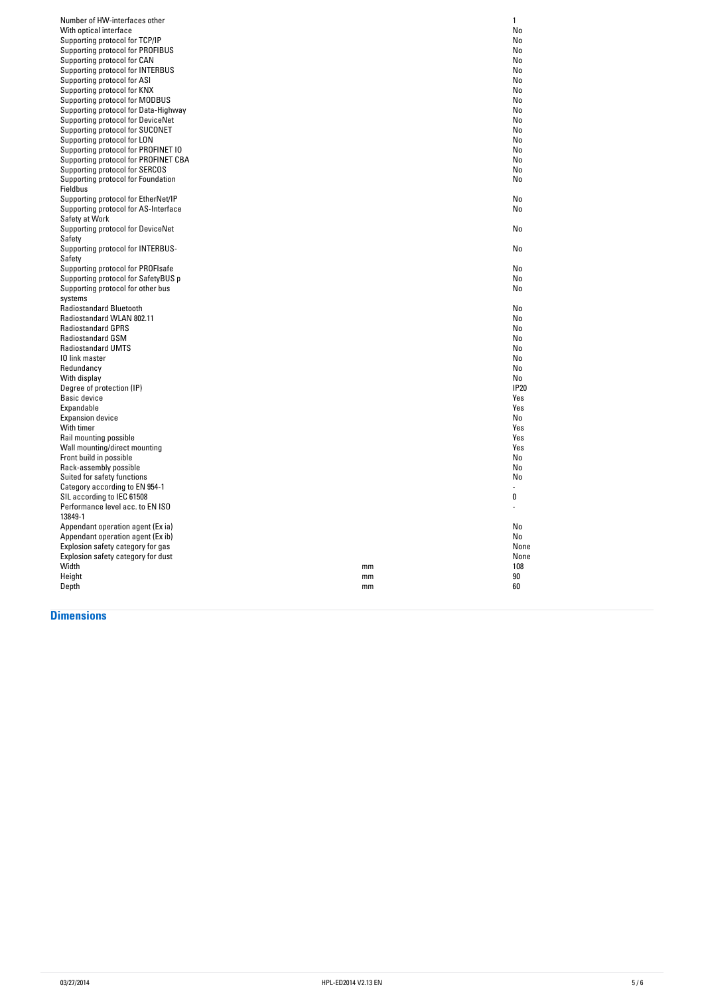| Number of HW-interfaces other        | 1           |
|--------------------------------------|-------------|
| With optical interface               | No          |
| Supporting protocol for TCP/IP       | No          |
| Supporting protocol for PROFIBUS     | No          |
| Supporting protocol for CAN          | No          |
| Supporting protocol for INTERBUS     | No          |
| Supporting protocol for ASI          | No          |
| Supporting protocol for KNX          | No          |
| Supporting protocol for MODBUS       | No          |
| Supporting protocol for Data-Highway | No          |
|                                      |             |
| Supporting protocol for DeviceNet    | No          |
| Supporting protocol for SUCONET      | No          |
| Supporting protocol for LON          | No          |
| Supporting protocol for PROFINET IO  | No          |
| Supporting protocol for PROFINET CBA | No          |
| Supporting protocol for SERCOS       | No          |
| Supporting protocol for Foundation   | No          |
| Fieldbus                             |             |
| Supporting protocol for EtherNet/IP  | No          |
| Supporting protocol for AS-Interface | No          |
| Safety at Work                       |             |
| Supporting protocol for DeviceNet    | No          |
| Safety                               |             |
| Supporting protocol for INTERBUS-    | No          |
| Safety                               |             |
| Supporting protocol for PROFIsafe    | No          |
| Supporting protocol for SafetyBUS p  | No          |
| Supporting protocol for other bus    | No          |
| systems                              |             |
| <b>Radiostandard Bluetooth</b>       | No          |
| Radiostandard WLAN 802.11            | No          |
| <b>Radiostandard GPRS</b>            | No          |
| <b>Radiostandard GSM</b>             | No          |
|                                      |             |
| <b>Radiostandard UMTS</b>            | No          |
| 10 link master                       | No          |
| Redundancy                           | No          |
| With display                         | No          |
| Degree of protection (IP)            | <b>IP20</b> |
| Basic device                         | Yes         |
| Expandable                           | Yes         |
| <b>Expansion device</b>              | No          |
| With timer                           | Yes         |
| Rail mounting possible               | Yes         |
| Wall mounting/direct mounting        | Yes         |
| Front build in possible              | No          |
| Rack-assembly possible               | No          |
| Suited for safety functions          | No          |
| Category according to EN 954-1       |             |
|                                      | 0           |
|                                      |             |
| SIL according to IEC 61508           |             |
| Performance level acc. to EN ISO     |             |
| 13849-1                              |             |
| Appendant operation agent (Ex ia)    | No          |
| Appendant operation agent (Ex ib)    | No          |
| Explosion safety category for gas    | None        |
| Explosion safety category for dust   | None        |
| Width<br>mm                          | 108         |
| Height<br>mm<br>Depth<br>mm          | 90<br>60    |

#### **Dimensions**